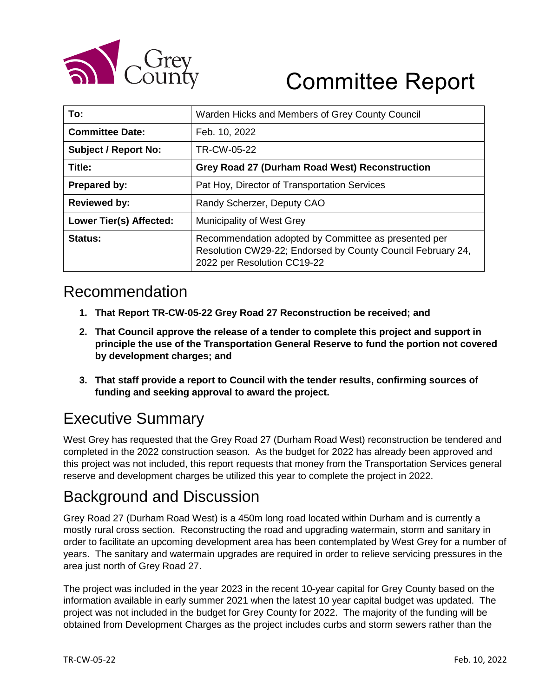

# Committee Report

| To:                         | Warden Hicks and Members of Grey County Council                                                                                                    |  |  |
|-----------------------------|----------------------------------------------------------------------------------------------------------------------------------------------------|--|--|
| <b>Committee Date:</b>      | Feb. 10, 2022                                                                                                                                      |  |  |
| <b>Subject / Report No:</b> | TR-CW-05-22                                                                                                                                        |  |  |
| Title:                      | Grey Road 27 (Durham Road West) Reconstruction                                                                                                     |  |  |
| Prepared by:                | Pat Hoy, Director of Transportation Services                                                                                                       |  |  |
| <b>Reviewed by:</b>         | Randy Scherzer, Deputy CAO                                                                                                                         |  |  |
| Lower Tier(s) Affected:     | Municipality of West Grey                                                                                                                          |  |  |
| Status:                     | Recommendation adopted by Committee as presented per<br>Resolution CW29-22; Endorsed by County Council February 24,<br>2022 per Resolution CC19-22 |  |  |

#### Recommendation

- **1. That Report TR-CW-05-22 Grey Road 27 Reconstruction be received; and**
- **2. That Council approve the release of a tender to complete this project and support in principle the use of the Transportation General Reserve to fund the portion not covered by development charges; and**
- **3. That staff provide a report to Council with the tender results, confirming sources of funding and seeking approval to award the project.**

### Executive Summary

West Grey has requested that the Grey Road 27 (Durham Road West) reconstruction be tendered and completed in the 2022 construction season. As the budget for 2022 has already been approved and this project was not included, this report requests that money from the Transportation Services general reserve and development charges be utilized this year to complete the project in 2022.

### Background and Discussion

Grey Road 27 (Durham Road West) is a 450m long road located within Durham and is currently a mostly rural cross section. Reconstructing the road and upgrading watermain, storm and sanitary in order to facilitate an upcoming development area has been contemplated by West Grey for a number of years. The sanitary and watermain upgrades are required in order to relieve servicing pressures in the area just north of Grey Road 27.

The project was included in the year 2023 in the recent 10-year capital for Grey County based on the information available in early summer 2021 when the latest 10 year capital budget was updated. The project was not included in the budget for Grey County for 2022. The majority of the funding will be obtained from Development Charges as the project includes curbs and storm sewers rather than the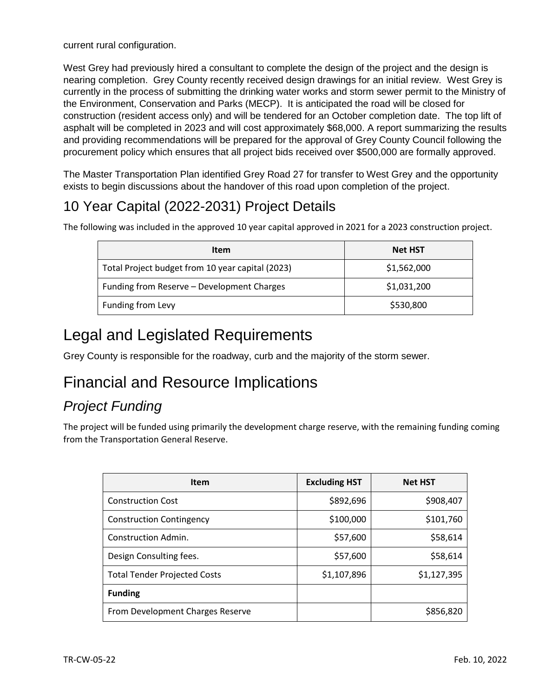current rural configuration.

West Grey had previously hired a consultant to complete the design of the project and the design is nearing completion. Grey County recently received design drawings for an initial review. West Grey is currently in the process of submitting the drinking water works and storm sewer permit to the Ministry of the Environment, Conservation and Parks (MECP). It is anticipated the road will be closed for construction (resident access only) and will be tendered for an October completion date. The top lift of asphalt will be completed in 2023 and will cost approximately \$68,000. A report summarizing the results and providing recommendations will be prepared for the approval of Grey County Council following the procurement policy which ensures that all project bids received over \$500,000 are formally approved.

The Master Transportation Plan identified Grey Road 27 for transfer to West Grey and the opportunity exists to begin discussions about the handover of this road upon completion of the project.

### 10 Year Capital (2022-2031) Project Details

The following was included in the approved 10 year capital approved in 2021 for a 2023 construction project.

| Item                                             | <b>Net HST</b> |
|--------------------------------------------------|----------------|
| Total Project budget from 10 year capital (2023) | \$1,562,000    |
| Funding from Reserve - Development Charges       | \$1,031,200    |
| Funding from Levy                                | \$530,800      |

#### Legal and Legislated Requirements

Grey County is responsible for the roadway, curb and the majority of the storm sewer.

## Financial and Resource Implications

#### *Project Funding*

The project will be funded using primarily the development charge reserve, with the remaining funding coming from the Transportation General Reserve.

| <b>Item</b>                         | <b>Excluding HST</b> | <b>Net HST</b> |
|-------------------------------------|----------------------|----------------|
| <b>Construction Cost</b>            | \$892,696            | \$908,407      |
| <b>Construction Contingency</b>     | \$100,000            | \$101,760      |
| Construction Admin.                 | \$57,600             | \$58,614       |
| Design Consulting fees.             | \$57,600             | \$58,614       |
| <b>Total Tender Projected Costs</b> | \$1,107,896          | \$1,127,395    |
| <b>Funding</b>                      |                      |                |
| From Development Charges Reserve    |                      | \$856,820      |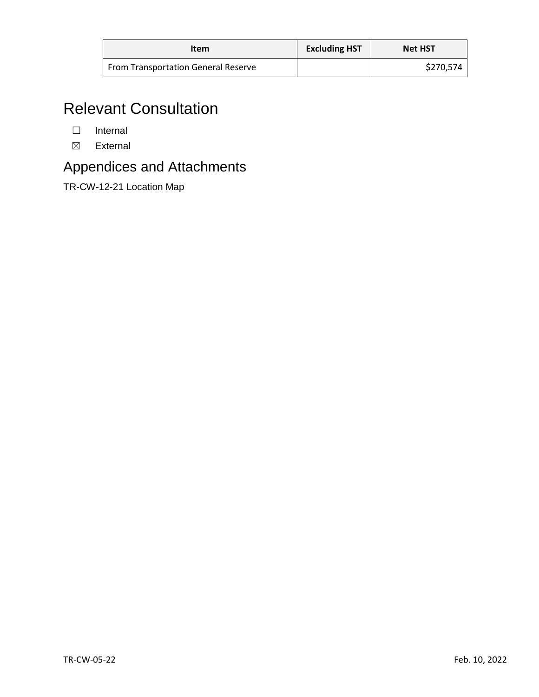| Item                                       | <b>Excluding HST</b> | <b>Net HST</b> |
|--------------------------------------------|----------------------|----------------|
| <b>From Transportation General Reserve</b> |                      | \$270,574      |

# Relevant Consultation

- ☐ Internal
- ☒ External

#### Appendices and Attachments

TR-CW-12-21 Location Map